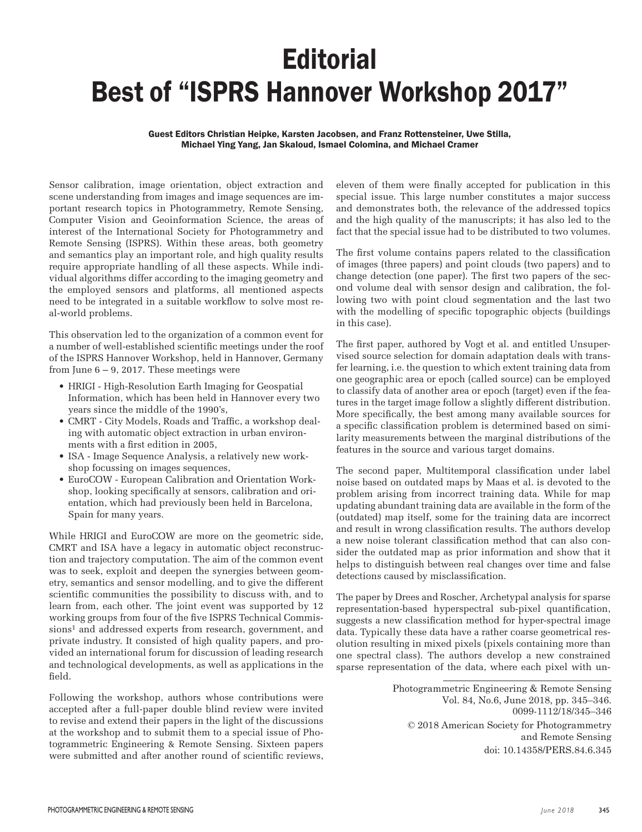## **Editorial** Best of "ISPRS Hannover Workshop 2017"

Guest Editors Christian Heipke, Karsten Jacobsen, and Franz Rottensteiner, Uwe Stilla, Michael Ying Yang, Jan Skaloud, Ismael Colomina, and Michael Cramer

Sensor calibration, image orientation, object extraction and scene understanding from images and image sequences are important research topics in Photogrammetry, Remote Sensing, Computer Vision and Geoinformation Science, the areas of interest of the International Society for Photogrammetry and Remote Sensing (ISPRS). Within these areas, both geometry and semantics play an important role, and high quality results require appropriate handling of all these aspects. While individual algorithms differ according to the imaging geometry and the employed sensors and platforms, all mentioned aspects need to be integrated in a suitable workflow to solve most real-world problems.

This observation led to the organization of a common event for a number of well-established scientific meetings under the roof of the ISPRS Hannover Workshop, held in Hannover, Germany from June  $6 - 9$ , 2017. These meetings were

- HRIGI High-Resolution Earth Imaging for Geospatial Information, which has been held in Hannover every two years since the middle of the 1990's,
- CMRT City Models, Roads and Traffic, a workshop dealing with automatic object extraction in urban environments with a first edition in 2005,
- ISA Image Sequence Analysis, a relatively new workshop focussing on images sequences,
- EuroCOW European Calibration and Orientation Workshop, looking specifically at sensors, calibration and orientation, which had previously been held in Barcelona, Spain for many years.

While HRIGI and EuroCOW are more on the geometric side, CMRT and ISA have a legacy in automatic object reconstruction and trajectory computation. The aim of the common event was to seek, exploit and deepen the synergies between geometry, semantics and sensor modelling, and to give the different scientific communities the possibility to discuss with, and to learn from, each other. The joint event was supported by 12 working groups from four of the five ISPRS Technical Commissions<sup>1</sup> and addressed experts from research, government, and private industry. It consisted of high quality papers, and provided an international forum for discussion of leading research and technological developments, as well as applications in the field.

Following the workshop, authors whose contributions were accepted after a full-paper double blind review were invited to revise and extend their papers in the light of the discussions at the workshop and to submit them to a special issue of Photogrammetric Engineering & Remote Sensing. Sixteen papers were submitted and after another round of scientific reviews,

eleven of them were finally accepted for publication in this special issue. This large number constitutes a major success and demonstrates both, the relevance of the addressed topics and the high quality of the manuscripts; it has also led to the fact that the special issue had to be distributed to two volumes.

The first volume contains papers related to the classification of images (three papers) and point clouds (two papers) and to change detection (one paper). The first two papers of the second volume deal with sensor design and calibration, the following two with point cloud segmentation and the last two with the modelling of specific topographic objects (buildings in this case).

The first paper, authored by Vogt et al. and entitled Unsupervised source selection for domain adaptation deals with transfer learning, i.e. the question to which extent training data from one geographic area or epoch (called source) can be employed to classify data of another area or epoch (target) even if the features in the target image follow a slightly different distribution. More specifically, the best among many available sources for a specific classification problem is determined based on similarity measurements between the marginal distributions of the features in the source and various target domains.

The second paper, Multitemporal classification under label noise based on outdated maps by Maas et al. is devoted to the problem arising from incorrect training data. While for map updating abundant training data are available in the form of the (outdated) map itself, some for the training data are incorrect and result in wrong classification results. The authors develop a new noise tolerant classification method that can also consider the outdated map as prior information and show that it helps to distinguish between real changes over time and false detections caused by misclassification.

The paper by Drees and Roscher, Archetypal analysis for sparse representation-based hyperspectral sub-pixel quantification, suggests a new classification method for hyper-spectral image data. Typically these data have a rather coarse geometrical resolution resulting in mixed pixels (pixels containing more than one spectral class). The authors develop a new constrained sparse representation of the data, where each pixel with un-

> Photogrammetric Engineering & Remote Sensing Vol. 84, No.6, June 2018, pp. 345–346. 0099-1112/18/345–346 © 2018 American Society for Photogrammetry and Remote Sensing doi: 10.14358/PERS.84.6.345